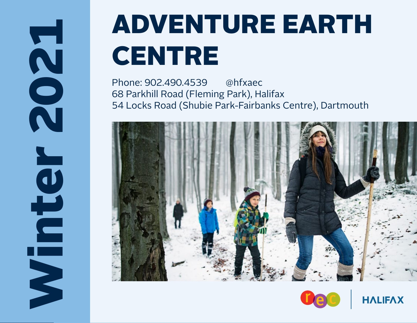Winter 2021 Ninter

## **ADVENTURE EARTH CENTRE**

Phone: 902.490.4539 @hfxaec 68 Parkhill Road (Fleming Park), Halifax 54 Locks Road (Shubie Park-Fairbanks Centre), Dartmouth





**HALIFAX**